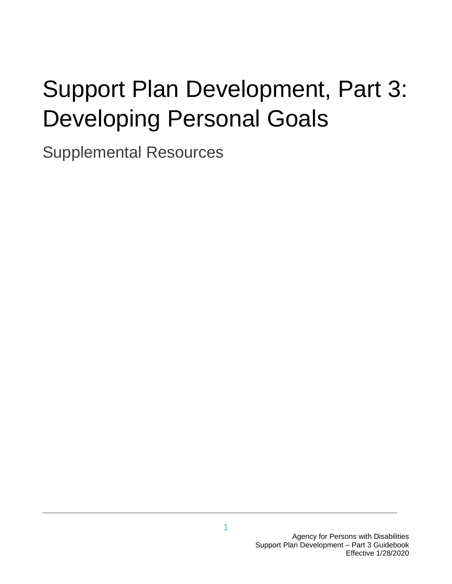# Support Plan Development, Part 3: Developing Personal Goals

Supplemental Resources

**\_\_\_\_\_\_\_\_\_\_\_\_\_\_\_\_\_\_\_\_\_\_\_\_\_\_\_\_\_\_\_\_\_\_\_\_\_\_\_\_\_\_\_\_\_\_\_\_\_\_\_\_\_\_\_\_\_\_\_\_\_\_\_\_\_\_\_\_\_\_\_\_**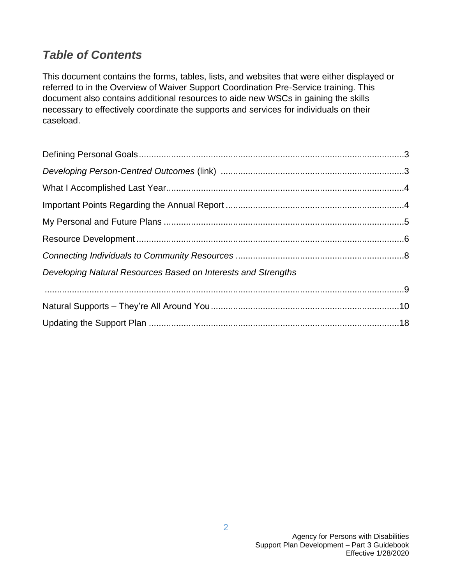# *Table of Contents*

This document contains the forms, tables, lists, and websites that were either displayed or referred to in the Overview of Waiver Support Coordination Pre-Service training. This document also contains additional resources to aide new WSCs in gaining the skills necessary to effectively coordinate the supports and services for individuals on their caseload.

| Developing Natural Resources Based on Interests and Strengths |  |
|---------------------------------------------------------------|--|
|                                                               |  |
|                                                               |  |
|                                                               |  |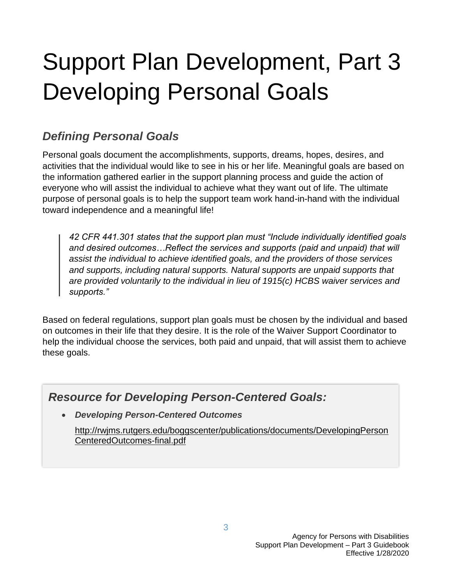# Support Plan Development, Part 3 Developing Personal Goals

# *Defining Personal Goals*

Personal goals document the accomplishments, supports, dreams, hopes, desires, and activities that the individual would like to see in his or her life. Meaningful goals are based on the information gathered earlier in the support planning process and guide the action of everyone who will assist the individual to achieve what they want out of life. The ultimate purpose of personal goals is to help the support team work hand-in-hand with the individual toward independence and a meaningful life!

*42 CFR 441.301 states that the support plan must "Include individually identified goals and desired outcomes…Reflect the services and supports (paid and unpaid) that will assist the individual to achieve identified goals, and the providers of those services and supports, including natural supports. Natural supports are unpaid supports that are provided voluntarily to the individual in lieu of 1915(c) HCBS waiver services and supports."* 

Based on federal regulations, support plan goals must be chosen by the individual and based on outcomes in their life that they desire. It is the role of the Waiver Support Coordinator to help the individual choose the services, both paid and unpaid, that will assist them to achieve these goals.

## *Resource for Developing Person-Centered Goals:*

• *Developing Person-Centered Outcomes* 

[http://rwjms.rutgers.edu/boggscenter/publications/documents/DevelopingPerson](http://rwjms.rutgers.edu/boggscenter/publications/documents/DevelopingPersonCenteredOutcomes-final.pdf) [CenteredOutcomes-final.pdf](http://rwjms.rutgers.edu/boggscenter/publications/documents/DevelopingPersonCenteredOutcomes-final.pdf)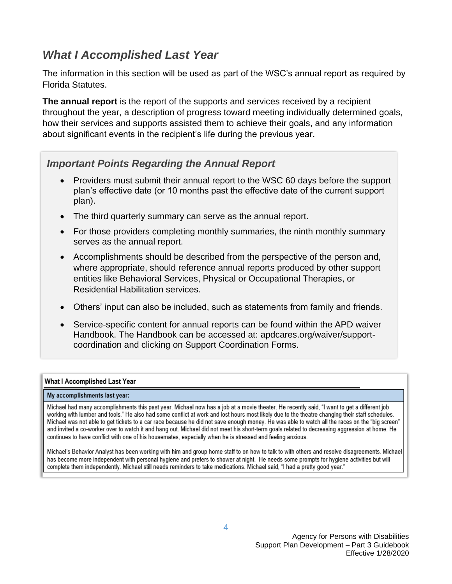### *What I Accomplished Last Year*

The information in this section will be used as part of the WSC's annual report as required by Florida Statutes.

**The annual report** is the report of the supports and services received by a recipient throughout the year, a description of progress toward meeting individually determined goals, how their services and supports assisted them to achieve their goals, and any information about significant events in the recipient's life during the previous year.

#### *Important Points Regarding the Annual Report*

- Providers must submit their annual report to the WSC 60 days before the support plan's effective date (or 10 months past the effective date of the current support plan).
- The third quarterly summary can serve as the annual report.
- For those providers completing monthly summaries, the ninth monthly summary serves as the annual report.
- Accomplishments should be described from the perspective of the person and, where appropriate, should reference annual reports produced by other support entities like Behavioral Services, Physical or Occupational Therapies, or Residential Habilitation services.
- Others' input can also be included, such as statements from family and friends.
- Service-specific content for annual reports can be found within the APD waiver Handbook. The Handbook can be accessed at: apdcares.org/waiver/supportcoordination and clicking on Support Coordination Forms.

#### What I Accomplished Last Year

#### My accomplishments last year:

Michael had many accomplishments this past year. Michael now has a job at a movie theater. He recently said, "I want to get a different job working with lumber and tools." He also had some conflict at work and lost hours most likely due to the theatre changing their staff schedules. Michael was not able to get tickets to a car race because he did not save enough money. He was able to watch all the races on the "big screen" and invited a co-worker over to watch it and hang out. Michael did not meet his short-term goals related to decreasing aggression at home. He continues to have conflict with one of his housemates, especially when he is stressed and feeling anxious.

Michael's Behavior Analyst has been working with him and group home staff to on how to talk to with others and resolve disagreements. Michael has become more independent with personal hygiene and prefers to shower at night. He needs some prompts for hygiene activities but will complete them independently. Michael still needs reminders to take medications. Michael said, "I had a pretty good year."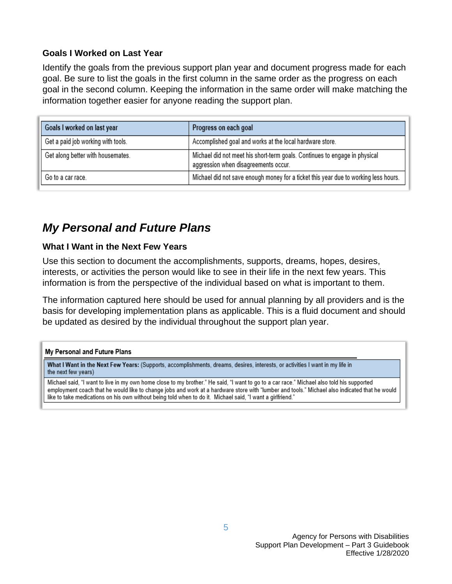#### **Goals I Worked on Last Year**

Identify the goals from the previous support plan year and document progress made for each goal. Be sure to list the goals in the first column in the same order as the progress on each goal in the second column. Keeping the information in the same order will make matching the information together easier for anyone reading the support plan.

| Goals I worked on last year        | Progress on each goal                                                                                              |
|------------------------------------|--------------------------------------------------------------------------------------------------------------------|
| Get a paid job working with tools. | Accomplished goal and works at the local hardware store.                                                           |
| Get along better with housemates.  | Michael did not meet his short-term goals. Continues to engage in physical<br>aggression when disagreements occur. |
| Go to a car race.                  | Michael did not save enough money for a ticket this year due to working less hours.                                |

# *My Personal and Future Plans*

#### **What I Want in the Next Few Years**

Use this section to document the accomplishments, supports, dreams, hopes, desires, interests, or activities the person would like to see in their life in the next few years. This information is from the perspective of the individual based on what is important to them.

The information captured here should be used for annual planning by all providers and is the basis for developing implementation plans as applicable. This is a fluid document and should be updated as desired by the individual throughout the support plan year.

#### My Personal and Future Plans

What I Want in the Next Few Years: (Supports, accomplishments, dreams, desires, interests, or activities I want in my life in the next few years)

Michael said, "I want to live in my own home close to my brother." He said, "I want to go to a car race." Michael also told his supported employment coach that he would like to change jobs and work at a hardware store with "lumber and tools." Michael also indicated that he would like to take medications on his own without being told when to do it. Michael said, "I want a girlfriend."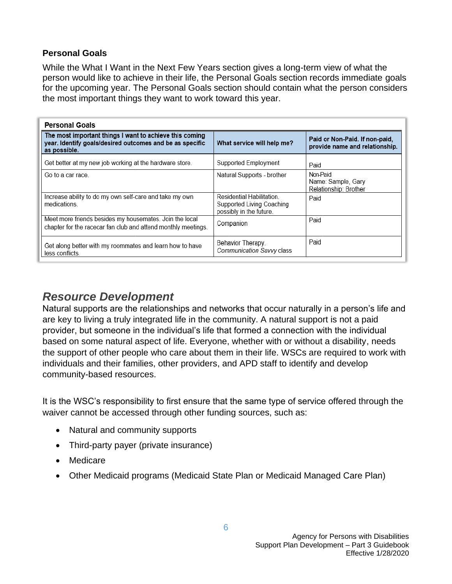#### **Personal Goals**

While the What I Want in the Next Few Years section gives a long-term view of what the person would like to achieve in their life, the Personal Goals section records immediate goals for the upcoming year. The Personal Goals section should contain what the person considers the most important things they want to work toward this year.

| <b>Personal Goals</b>                                                                                                               |                                                                                  |                                                                  |
|-------------------------------------------------------------------------------------------------------------------------------------|----------------------------------------------------------------------------------|------------------------------------------------------------------|
| The most important things I want to achieve this coming<br>year. Identify goals/desired outcomes and be as specific<br>as possible. | What service will help me?                                                       | Paid or Non-Paid. If non-paid,<br>provide name and relationship. |
| Get better at my new job working at the hardware store.                                                                             | Supported Employment                                                             | Paid                                                             |
| Go to a car race.                                                                                                                   | Natural Supports - brother                                                       | Non-Paid<br>Name: Sample, Gary<br>Relationship: Brother          |
| Increase ability to do my own self-care and take my own<br>medications.                                                             | Residential Habilitation<br>Supported Living Coaching<br>possibly in the future. | Paid                                                             |
| Meet more friends besides my housemates. Join the local<br>chapter for the racecar fan club and attend monthly meetings.            | Companion                                                                        | Paid                                                             |
| Get along better with my roommates and learn how to have<br>less conflicts.                                                         | Behavior Therapy.<br>Communication Savvy class                                   | Paid                                                             |

### *Resource Development*

Natural supports are the relationships and networks that occur naturally in a person's life and are key to living a truly integrated life in the community. A natural support is not a paid provider, but someone in the individual's life that formed a connection with the individual based on some natural aspect of life. Everyone, whether with or without a disability, needs the support of other people who care about them in their life. WSCs are required to work with individuals and their families, other providers, and APD staff to identify and develop community-based resources.

It is the WSC's responsibility to first ensure that the same type of service offered through the waiver cannot be accessed through other funding sources, such as:

- Natural and community supports
- Third-party payer (private insurance)
- Medicare
- Other Medicaid programs (Medicaid State Plan or Medicaid Managed Care Plan)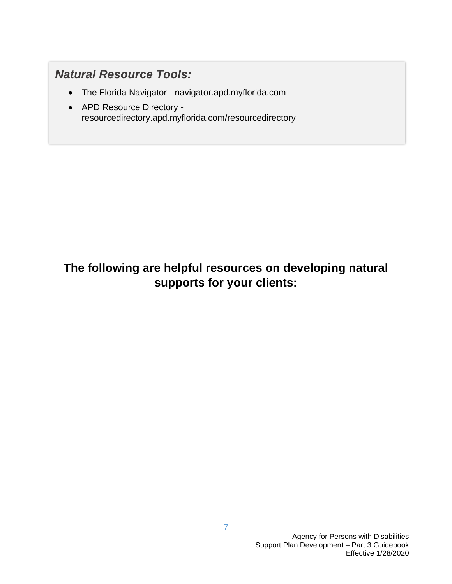## *Natural Resource Tools:*

- The Florida Navigator navigator.apd.myflorida.com
- APD Resource Directory [resourcedirectory.apd.myflorida.com/resourcedirectory](http://resourcedirectory.apd.myflorida.com/resourcedirectory/)

# **The following are helpful resources on developing natural supports for your clients:**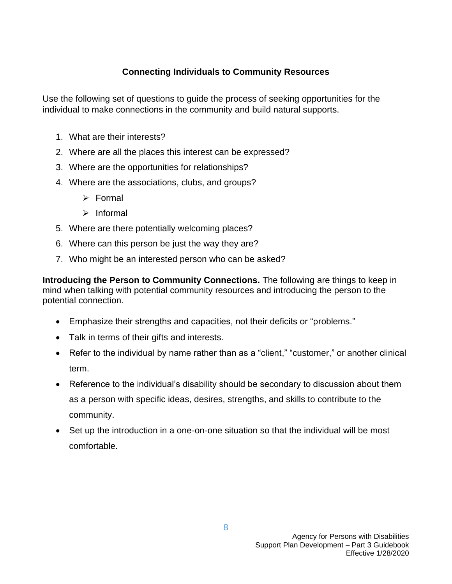#### **Connecting Individuals to Community Resources**

Use the following set of questions to guide the process of seeking opportunities for the individual to make connections in the community and build natural supports.

- 1. What are their interests?
- 2. Where are all the places this interest can be expressed?
- 3. Where are the opportunities for relationships?
- 4. Where are the associations, clubs, and groups?
	- ➢ Formal
	- ➢ Informal
- 5. Where are there potentially welcoming places?
- 6. Where can this person be just the way they are?
- 7. Who might be an interested person who can be asked?

**Introducing the Person to Community Connections.** The following are things to keep in mind when talking with potential community resources and introducing the person to the potential connection.

- Emphasize their strengths and capacities, not their deficits or "problems."
- Talk in terms of their gifts and interests.
- Refer to the individual by name rather than as a "client," "customer," or another clinical term.
- Reference to the individual's disability should be secondary to discussion about them as a person with specific ideas, desires, strengths, and skills to contribute to the community.
- Set up the introduction in a one-on-one situation so that the individual will be most comfortable.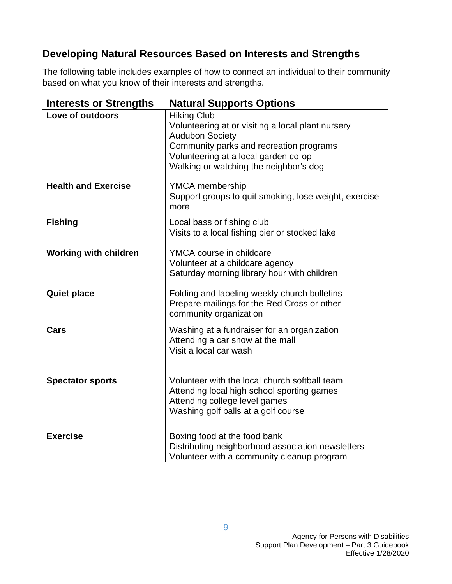#### **Developing Natural Resources Based on Interests and Strengths**

The following table includes examples of how to connect an individual to their community based on what you know of their interests and strengths.

| <b>Interests or Strengths</b> | <b>Natural Supports Options</b>                                                                                                                                                                                                |
|-------------------------------|--------------------------------------------------------------------------------------------------------------------------------------------------------------------------------------------------------------------------------|
| Love of outdoors              | <b>Hiking Club</b><br>Volunteering at or visiting a local plant nursery<br><b>Audubon Society</b><br>Community parks and recreation programs<br>Volunteering at a local garden co-op<br>Walking or watching the neighbor's dog |
| <b>Health and Exercise</b>    | YMCA membership<br>Support groups to quit smoking, lose weight, exercise<br>more                                                                                                                                               |
| <b>Fishing</b>                | Local bass or fishing club<br>Visits to a local fishing pier or stocked lake                                                                                                                                                   |
| <b>Working with children</b>  | YMCA course in childcare<br>Volunteer at a childcare agency<br>Saturday morning library hour with children                                                                                                                     |
| <b>Quiet place</b>            | Folding and labeling weekly church bulletins<br>Prepare mailings for the Red Cross or other<br>community organization                                                                                                          |
| Cars                          | Washing at a fundraiser for an organization<br>Attending a car show at the mall<br>Visit a local car wash                                                                                                                      |
| <b>Spectator sports</b>       | Volunteer with the local church softball team<br>Attending local high school sporting games<br>Attending college level games<br>Washing golf balls at a golf course                                                            |
| <b>Exercise</b>               | Boxing food at the food bank<br>Distributing neighborhood association newsletters<br>Volunteer with a community cleanup program                                                                                                |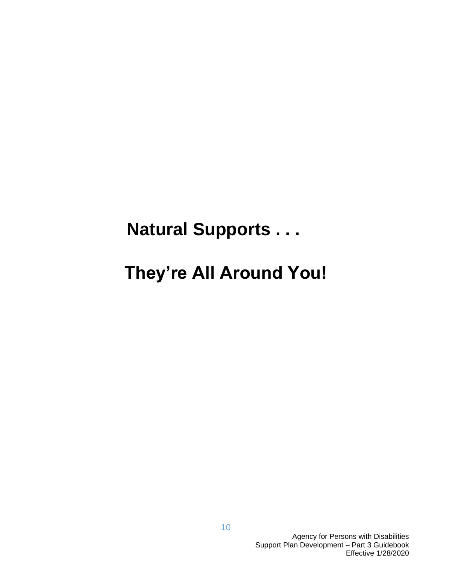# **Natural Supports . . .**

# **They're All Around You!**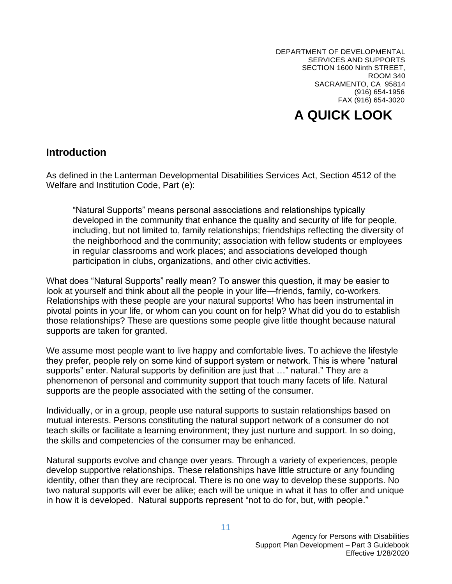DEPARTMENT OF DEVELOPMENTAL SERVICES AND SUPPORTS SECTION 1600 Ninth STREET, ROOM 340 SACRAMENTO, CA 95814 (916) 654-1956 FAX (916) 654-3020

# **A QUICK LOOK**

#### **Introduction**

As defined in the Lanterman Developmental Disabilities Services Act, Section 4512 of the Welfare and Institution Code, Part (e):

"Natural Supports" means personal associations and relationships typically developed in the community that enhance the quality and security of life for people, including, but not limited to, family relationships; friendships reflecting the diversity of the neighborhood and the community; association with fellow students or employees in regular classrooms and work places; and associations developed though participation in clubs, organizations, and other civic activities.

What does "Natural Supports" really mean? To answer this question, it may be easier to look at yourself and think about all the people in your life—friends, family, co-workers. Relationships with these people are your natural supports! Who has been instrumental in pivotal points in your life, or whom can you count on for help? What did you do to establish those relationships? These are questions some people give little thought because natural supports are taken for granted.

We assume most people want to live happy and comfortable lives. To achieve the lifestyle they prefer, people rely on some kind of support system or network. This is where "natural supports" enter. Natural supports by definition are just that …" natural." They are a phenomenon of personal and community support that touch many facets of life. Natural supports are the people associated with the setting of the consumer.

Individually, or in a group, people use natural supports to sustain relationships based on mutual interests. Persons constituting the natural support network of a consumer do not teach skills or facilitate a learning environment; they just nurture and support. In so doing, the skills and competencies of the consumer may be enhanced.

Natural supports evolve and change over years. Through a variety of experiences, people develop supportive relationships. These relationships have little structure or any founding identity, other than they are reciprocal. There is no one way to develop these supports. No two natural supports will ever be alike; each will be unique in what it has to offer and unique in how it is developed. Natural supports represent "not to do for, but, with people."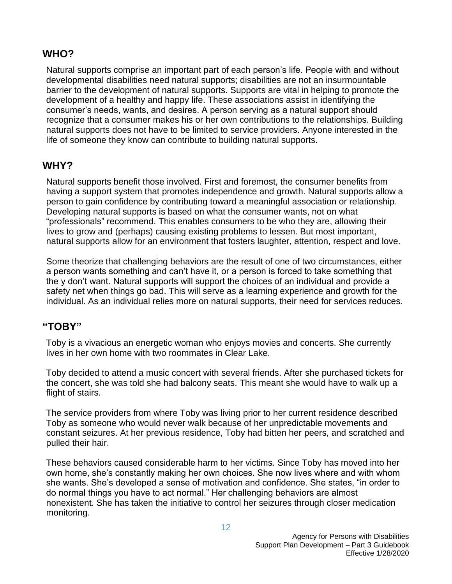#### **WHO?**

Natural supports comprise an important part of each person's life. People with and without developmental disabilities need natural supports; disabilities are not an insurmountable barrier to the development of natural supports. Supports are vital in helping to promote the development of a healthy and happy life. These associations assist in identifying the consumer's needs, wants, and desires. A person serving as a natural support should recognize that a consumer makes his or her own contributions to the relationships. Building natural supports does not have to be limited to service providers. Anyone interested in the life of someone they know can contribute to building natural supports.

#### **WHY?**

Natural supports benefit those involved. First and foremost, the consumer benefits from having a support system that promotes independence and growth. Natural supports allow a person to gain confidence by contributing toward a meaningful association or relationship. Developing natural supports is based on what the consumer wants, not on what "professionals" recommend. This enables consumers to be who they are, allowing their lives to grow and (perhaps) causing existing problems to lessen. But most important, natural supports allow for an environment that fosters laughter, attention, respect and love.

Some theorize that challenging behaviors are the result of one of two circumstances, either a person wants something and can't have it, or a person is forced to take something that the y don't want. Natural supports will support the choices of an individual and provide a safety net when things go bad. This will serve as a learning experience and growth for the individual. As an individual relies more on natural supports, their need for services reduces.

#### **"TOBY"**

Toby is a vivacious an energetic woman who enjoys movies and concerts. She currently lives in her own home with two roommates in Clear Lake.

Toby decided to attend a music concert with several friends. After she purchased tickets for the concert, she was told she had balcony seats. This meant she would have to walk up a flight of stairs.

The service providers from where Toby was living prior to her current residence described Toby as someone who would never walk because of her unpredictable movements and constant seizures. At her previous residence, Toby had bitten her peers, and scratched and pulled their hair.

These behaviors caused considerable harm to her victims. Since Toby has moved into her own home, she's constantly making her own choices. She now lives where and with whom she wants. She's developed a sense of motivation and confidence. She states, "in order to do normal things you have to act normal." Her challenging behaviors are almost nonexistent. She has taken the initiative to control her seizures through closer medication monitoring.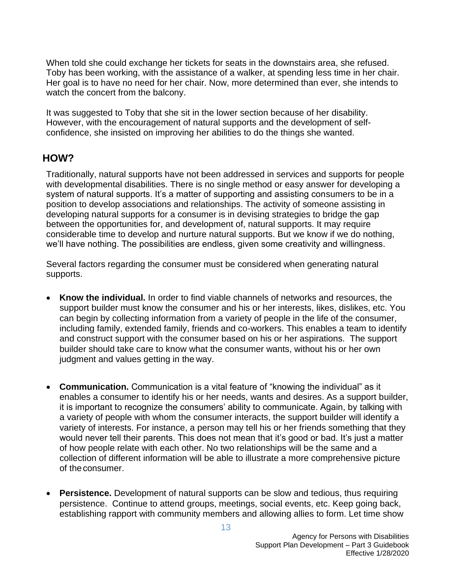When told she could exchange her tickets for seats in the downstairs area, she refused. Toby has been working, with the assistance of a walker, at spending less time in her chair. Her goal is to have no need for her chair. Now, more determined than ever, she intends to watch the concert from the balcony.

It was suggested to Toby that she sit in the lower section because of her disability. However, with the encouragement of natural supports and the development of selfconfidence, she insisted on improving her abilities to do the things she wanted.

#### **HOW?**

Traditionally, natural supports have not been addressed in services and supports for people with developmental disabilities. There is no single method or easy answer for developing a system of natural supports. It's a matter of supporting and assisting consumers to be in a position to develop associations and relationships. The activity of someone assisting in developing natural supports for a consumer is in devising strategies to bridge the gap between the opportunities for, and development of, natural supports. It may require considerable time to develop and nurture natural supports. But we know if we do nothing, we'll have nothing. The possibilities are endless, given some creativity and willingness.

Several factors regarding the consumer must be considered when generating natural supports.

- **Know the individual.** In order to find viable channels of networks and resources, the support builder must know the consumer and his or her interests, likes, dislikes, etc. You can begin by collecting information from a variety of people in the life of the consumer, including family, extended family, friends and co-workers. This enables a team to identify and construct support with the consumer based on his or her aspirations. The support builder should take care to know what the consumer wants, without his or her own judgment and values getting in the way.
- **Communication.** Communication is a vital feature of "knowing the individual" as it enables a consumer to identify his or her needs, wants and desires. As a support builder, it is important to recognize the consumers' ability to communicate. Again, by talking with a variety of people with whom the consumer interacts, the support builder will identify a variety of interests. For instance, a person may tell his or her friends something that they would never tell their parents. This does not mean that it's good or bad. It's just a matter of how people relate with each other. No two relationships will be the same and a collection of different information will be able to illustrate a more comprehensive picture of theconsumer.
- **Persistence.** Development of natural supports can be slow and tedious, thus requiring persistence. Continue to attend groups, meetings, social events, etc. Keep going back, establishing rapport with community members and allowing allies to form. Let time show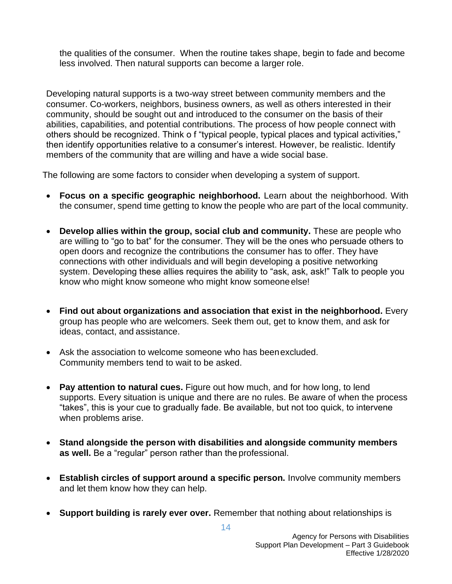the qualities of the consumer. When the routine takes shape, begin to fade and become less involved. Then natural supports can become a larger role.

Developing natural supports is a two-way street between community members and the consumer. Co-workers, neighbors, business owners, as well as others interested in their community, should be sought out and introduced to the consumer on the basis of their abilities, capabilities, and potential contributions. The process of how people connect with others should be recognized. Think o f "typical people, typical places and typical activities," then identify opportunities relative to a consumer's interest. However, be realistic. Identify members of the community that are willing and have a wide social base.

The following are some factors to consider when developing a system of support.

- **Focus on a specific geographic neighborhood.** Learn about the neighborhood. With the consumer, spend time getting to know the people who are part of the local community.
- **Develop allies within the group, social club and community.** These are people who are willing to "go to bat" for the consumer. They will be the ones who persuade others to open doors and recognize the contributions the consumer has to offer. They have connections with other individuals and will begin developing a positive networking system. Developing these allies requires the ability to "ask, ask, ask!" Talk to people you know who might know someone who might know someone else!
- **Find out about organizations and association that exist in the neighborhood.** Every group has people who are welcomers. Seek them out, get to know them, and ask for ideas, contact, and assistance.
- Ask the association to welcome someone who has beenexcluded. Community members tend to wait to be asked.
- **Pay attention to natural cues.** Figure out how much, and for how long, to lend supports. Every situation is unique and there are no rules. Be aware of when the process "takes", this is your cue to gradually fade. Be available, but not too quick, to intervene when problems arise.
- **Stand alongside the person with disabilities and alongside community members as well.** Be a "regular" person rather than the professional.
- **Establish circles of support around a specific person.** Involve community members and let them know how they can help.
- **Support building is rarely ever over.** Remember that nothing about relationships is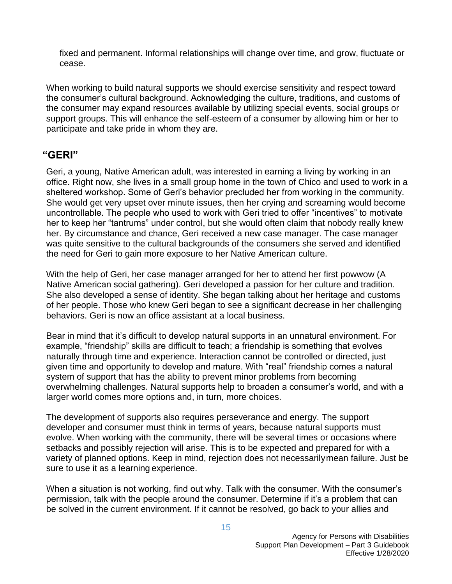fixed and permanent. Informal relationships will change over time, and grow, fluctuate or cease.

When working to build natural supports we should exercise sensitivity and respect toward the consumer's cultural background. Acknowledging the culture, traditions, and customs of the consumer may expand resources available by utilizing special events, social groups or support groups. This will enhance the self-esteem of a consumer by allowing him or her to participate and take pride in whom they are.

#### **"GERI"**

Geri, a young, Native American adult, was interested in earning a living by working in an office. Right now, she lives in a small group home in the town of Chico and used to work in a sheltered workshop. Some of Geri's behavior precluded her from working in the community. She would get very upset over minute issues, then her crying and screaming would become uncontrollable. The people who used to work with Geri tried to offer "incentives" to motivate her to keep her "tantrums" under control, but she would often claim that nobody really knew her. By circumstance and chance, Geri received a new case manager. The case manager was quite sensitive to the cultural backgrounds of the consumers she served and identified the need for Geri to gain more exposure to her Native American culture.

With the help of Geri, her case manager arranged for her to attend her first powwow (A Native American social gathering). Geri developed a passion for her culture and tradition. She also developed a sense of identity. She began talking about her heritage and customs of her people. Those who knew Geri began to see a significant decrease in her challenging behaviors. Geri is now an office assistant at a local business.

Bear in mind that it's difficult to develop natural supports in an unnatural environment. For example, "friendship" skills are difficult to teach; a friendship is something that evolves naturally through time and experience. Interaction cannot be controlled or directed, just given time and opportunity to develop and mature. With "real" friendship comes a natural system of support that has the ability to prevent minor problems from becoming overwhelming challenges. Natural supports help to broaden a consumer's world, and with a larger world comes more options and, in turn, more choices.

The development of supports also requires perseverance and energy. The support developer and consumer must think in terms of years, because natural supports must evolve. When working with the community, there will be several times or occasions where setbacks and possibly rejection will arise. This is to be expected and prepared for with a variety of planned options. Keep in mind, rejection does not necessarilymean failure. Just be sure to use it as a learning experience.

When a situation is not working, find out why. Talk with the consumer. With the consumer's permission, talk with the people around the consumer. Determine if it's a problem that can be solved in the current environment. If it cannot be resolved, go back to your allies and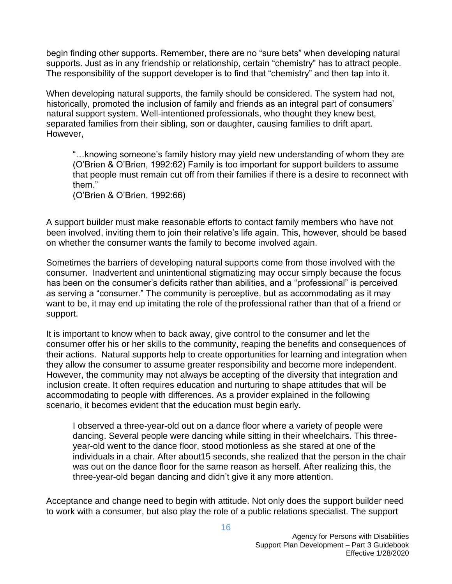begin finding other supports. Remember, there are no "sure bets" when developing natural supports. Just as in any friendship or relationship, certain "chemistry" has to attract people. The responsibility of the support developer is to find that "chemistry" and then tap into it.

When developing natural supports, the family should be considered. The system had not, historically, promoted the inclusion of family and friends as an integral part of consumers' natural support system. Well-intentioned professionals, who thought they knew best, separated families from their sibling, son or daughter, causing families to drift apart. However,

"…knowing someone's family history may yield new understanding of whom they are (O'Brien & O'Brien, 1992:62) Family is too important for support builders to assume that people must remain cut off from their families if there is a desire to reconnect with them."

(O'Brien & O'Brien, 1992:66)

A support builder must make reasonable efforts to contact family members who have not been involved, inviting them to join their relative's life again. This, however, should be based on whether the consumer wants the family to become involved again.

Sometimes the barriers of developing natural supports come from those involved with the consumer. Inadvertent and unintentional stigmatizing may occur simply because the focus has been on the consumer's deficits rather than abilities, and a "professional" is perceived as serving a "consumer." The community is perceptive, but as accommodating as it may want to be, it may end up imitating the role of the professional rather than that of a friend or support.

It is important to know when to back away, give control to the consumer and let the consumer offer his or her skills to the community, reaping the benefits and consequences of their actions. Natural supports help to create opportunities for learning and integration when they allow the consumer to assume greater responsibility and become more independent. However, the community may not always be accepting of the diversity that integration and inclusion create. It often requires education and nurturing to shape attitudes that will be accommodating to people with differences. As a provider explained in the following scenario, it becomes evident that the education must begin early.

I observed a three-year-old out on a dance floor where a variety of people were dancing. Several people were dancing while sitting in their wheelchairs. This threeyear-old went to the dance floor, stood motionless as she stared at one of the individuals in a chair. After about15 seconds, she realized that the person in the chair was out on the dance floor for the same reason as herself. After realizing this, the three-year-old began dancing and didn't give it any more attention.

Acceptance and change need to begin with attitude. Not only does the support builder need to work with a consumer, but also play the role of a public relations specialist. The support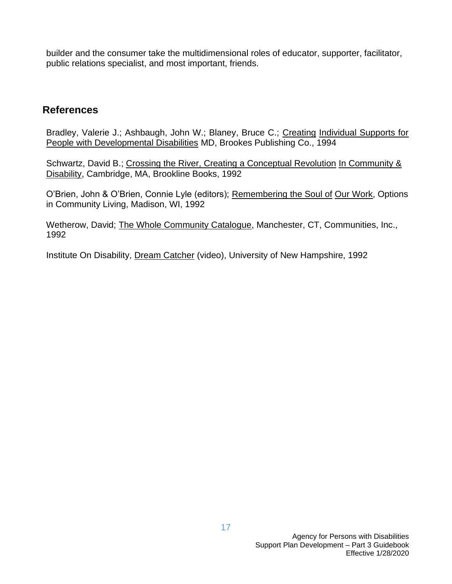builder and the consumer take the multidimensional roles of educator, supporter, facilitator, public relations specialist, and most important, friends.

#### **References**

Bradley, Valerie J.; Ashbaugh, John W.; Blaney, Bruce C.; Creating Individual Supports for People with Developmental Disabilities MD, Brookes Publishing Co., 1994

Schwartz, David B.; Crossing the River, Creating a Conceptual Revolution In Community & Disability, Cambridge, MA, Brookline Books, 1992

O'Brien, John & O'Brien, Connie Lyle (editors); Remembering the Soul of Our Work, Options in Community Living, Madison, WI, 1992

Wetherow, David; The Whole Community Catalogue, Manchester, CT, Communities, Inc., 1992

Institute On Disability, Dream Catcher (video), University of New Hampshire, 1992